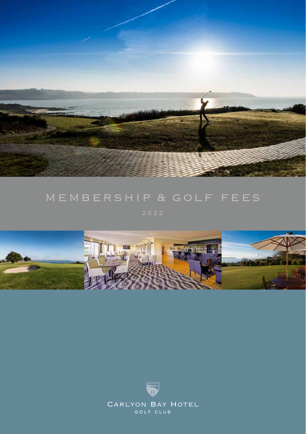

# membership & golf fees

2022



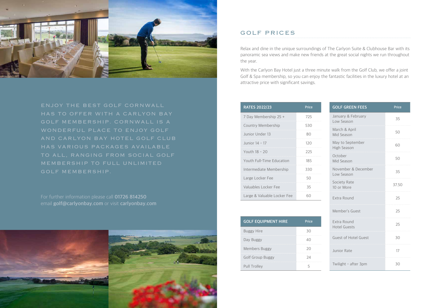

ENJOY THE BEST GOLF CORNWALL HAS TO OFFER WITH A CARLYON BAY GOLF MEMBERSHIP. CORNWALL IS A WONDERFUL PLACE TO ENJOY GOLF AND CARLYON BAY HOTEL GOLF CLUB HAS VARIOUS PACKAGES AVAILABLE TO ALL, RANGING FROM SOCIAL GOLF MEMBERSHIP TO FULL UNLIMITED GOLF MEMBERSHIP.

For further information please call **01726 814250** email **golf@carlyonbay.com** or visit **carlyonbay.com**



## GOLF PRICES

Relax and dine in the unique surroundings of The Carlyon Suite & Clubhouse Bar with its panoramic sea views and make new friends at the great social nights we run throughout the year.

With the Carlyon Bay Hotel just a three minute walk from the Golf Club, we offer a joint Golf & Spa membership, so you can enjoy the fantastic facilities in the luxury hotel at an attractive price with significant savings.

| <b>RATES 2022/23</b>        | Price |
|-----------------------------|-------|
| 7 Day Membership 25 +       | 725   |
| Country Membership          | 530   |
| Junior Under 13             | RΛ    |
| Junior 14 - 17              | 120   |
| Youth 18 - 20               | 225   |
| Youth Full-Time Education   | 185   |
| Intermediate Membership     | 330   |
| Large Locker Fee            | 50    |
| Valuables Locker Fee        | 35    |
| Large & Valuable Locker Fee |       |

| <b>GOLF EQUIPMENT HIRE</b> | Price |
|----------------------------|-------|
| <b>Buggy Hire</b>          | 30    |
| Day Buggy                  |       |
| Members Buggy              | 2Ο    |
| <b>Golf Group Buggy</b>    | 74    |
| Pull Trolley               |       |

| <b>GOLF GREEN FEES</b>             | Price |
|------------------------------------|-------|
| January & February<br>Low Season   | 35    |
| March & April<br>Mid Season        | 50    |
| May to September<br>High Season    | 60    |
| October<br>Mid Season              | 50    |
| November & December<br>Low Season  | 35    |
| Society Rate<br>10 or More         | 37.50 |
| Extra Round                        | 25    |
| Member's Guest                     | 25    |
| Extra Round<br><b>Hotel Guests</b> | 25    |
| <b>Guest of Hotel Guest</b>        | 30    |
| Junior Rate                        | 17    |
| Twilight - after 3pm               | 30    |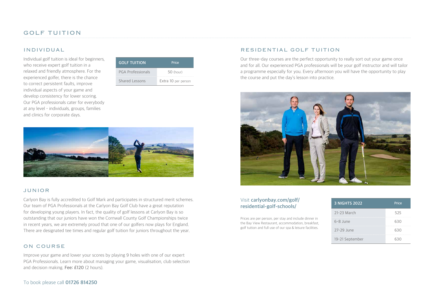## INDIVIDUAL

Individual golf tuition is ideal for beginners, who receive expert golf tuition in a relaxed and friendly atmosphere. For the experienced golfer, there is the chance to correct persistent faults, improve individual aspects of your game and develop consistency for lower scoring. Our PGA professionals cater for everybody at any level – individuals, groups, families and clinics for corporate days.

| <b>GOLF TUITION</b>      | Price               |  |
|--------------------------|---------------------|--|
| <b>PGA Professionals</b> | 50 (hour)           |  |
| Shared Lessons           | Extra 10 per person |  |



## JUNIOR

Carlyon Bay is fully accredited to Golf Mark and participates in structured merit schemes. Our team of PGA Professionals at the Carlyon Bay Golf Club have a great reputation for developing young players. In fact, the quality of golf lessons at Carlyon Bay is so outstanding that our juniors have won the Cornwall County Golf Championships twice in recent years, we are extremely proud that one of our golfers now plays for England. There are designated tee times and regular golf tuition for juniors throughout the year.

#### ON COURSE

Improve your game and lower your scores by playing 9 holes with one of our expert PGA Professionals. Learn more about managing your game, visualisation, club selection and decision making. **Fee: £120** (2 hours).

## To book please call **01726 814250**

### RESIDENTIAL GOLF TUITION

Our three-day courses are the perfect opportunity to really sort out your game once and for all. Our experienced PGA professionals will be your golf instructor and will tailor a programme especially for you. Every afternoon you will have the opportunity to play the course and put the day's lesson into practice.



## Visit **carlyonbay.com/golf/ residential-golf-schools/**

Prices are per person, per stay and include dinner in the Bay View Restaurant, accommodation, breakfast, golf tuition and full use of our spa & leisure facilities.

| <b>3 NIGHTS 2022</b> | Price |
|----------------------|-------|
| 21-23 March          | 525   |
| 6-8 June             | 630   |
| 27-29 June           | 630   |
| 19-21 September      | 630   |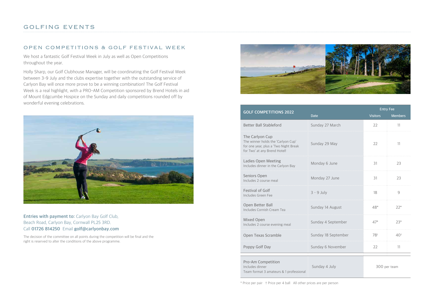#### OPEN COMPETITIONS & GOLF FESTIVAL WEEK

We host a fantastic Golf Festival Week in July as well as Open Competitions throughout the year.

Holly Sharp, our Golf Clubhouse Manager, will be coordinating the Golf Festival Week between 3-9 July and the clubs expertise together with the outstanding service of Carlyon Bay will once more prove to be a winning combination! The Golf Festival Week is a real highlight, with a PRO-AM Competition sponsored by Brend Hotels in aid of Mount Edgcumbe Hospice on the Sunday and daily competitions rounded off by wonderful evening celebrations.



### **Entries with payment to:** Carlyon Bay Golf Club, Beach Road, Carlyon Bay, Cornwall PL25 3RD. Call **01726 814250** Email **golf@carlyonbay.com**

The decision of the committee on all points during the competition will be final and the right is reserved to alter the conditions of the above programme.



| <b>GOLF COMPETITIONS 2022</b>                                                                                                  |                     | <b>Entry Fee</b> |                 |
|--------------------------------------------------------------------------------------------------------------------------------|---------------------|------------------|-----------------|
|                                                                                                                                | <b>Date</b>         | <b>Visitors</b>  | <b>Members</b>  |
| <b>Better Ball Stableford</b>                                                                                                  | Sunday 27 March     | 22               | 11              |
| The Carlyon Cup<br>The winner holds the 'Carlyon Cup'<br>for one year, plus a 'Two Night Break<br>for Two' at any Brend Hotel! | Sunday 29 May       | 22               | 11              |
| Ladies Open Meeting<br>Includes dinner in the Carlyon Bay                                                                      | Monday 6 June       | 31               | 23              |
| Seniors Open<br>Includes 2 course meal                                                                                         | Monday 27 June      | 31               | 23              |
| <b>Festival of Golf</b><br>Includes Green Fee                                                                                  | $3 - 9$ July        | 18               | 9               |
| Open Better Ball<br>Includes Cornish Cream Tea                                                                                 | Sunday 14 August    | $48*$            | $22*$           |
| Mixed Open<br>Includes 2 course evening meal                                                                                   | Sunday 4 September  | $47*$            | $23*$           |
| Open Texas Scramble                                                                                                            | Sunday 18 September | $78^{+}$         | 40 <sup>†</sup> |
| Poppy Golf Day                                                                                                                 | Sunday 6 November   | 22               | 11              |
| Pro-Am Competition<br>Includes dinner<br>Team format 3 amateurs & 1 professional                                               | Sunday 4 July       |                  | 300 per team    |

\* Price per pair † Price per 4 ball All other prices are per person